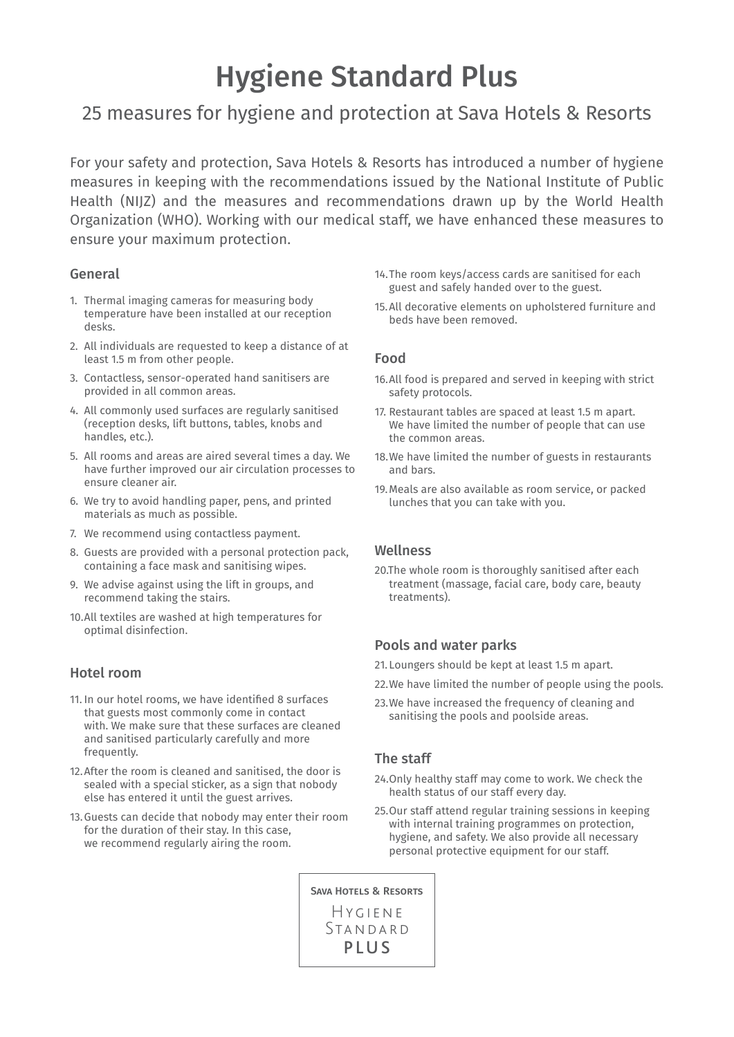# Hygiene Standard Plus

# 25 measures for hygiene and protection at Sava Hotels & Resorts

For your safety and protection, Sava Hotels & Resorts has introduced a number of hygiene measures in keeping with the recommendations issued by the National Institute of Public Health (NIJZ) and the measures and recommendations drawn up by the World Health Organization (WHO). Working with our medical staff, we have enhanced these measures to ensure your maximum protection.

#### General

- 1. Thermal imaging cameras for measuring body temperature have been installed at our reception desks.
- 2. All individuals are requested to keep a distance of at least 1.5 m from other people.
- 3. Contactless, sensor-operated hand sanitisers are provided in all common areas.
- 4. All commonly used surfaces are regularly sanitised (reception desks, lift buttons, tables, knobs and handles, etc.).
- 5. All rooms and areas are aired several times a day. We have further improved our air circulation processes to ensure cleaner air.
- 6. We try to avoid handling paper, pens, and printed materials as much as possible.
- 7. We recommend using contactless payment.
- 8. Guests are provided with a personal protection pack, containing a face mask and sanitising wipes.
- 9. We advise against using the lift in groups, and recommend taking the stairs.
- 10.All textiles are washed at high temperatures for optimal disinfection.

#### Hotel room

- 11. In our hotel rooms, we have identified 8 surfaces that guests most commonly come in contact with. We make sure that these surfaces are cleaned and sanitised particularly carefully and more frequently.
- 12.After the room is cleaned and sanitised, the door is sealed with a special sticker, as a sign that nobody else has entered it until the guest arrives.
- 13.Guests can decide that nobody may enter their room for the duration of their stay. In this case, we recommend regularly airing the room.
- 14.The room keys/access cards are sanitised for each guest and safely handed over to the guest.
- 15.All decorative elements on upholstered furniture and beds have been removed.

#### Food

- 16.All food is prepared and served in keeping with strict safety protocols.
- 17. Restaurant tables are spaced at least 1.5 m apart. We have limited the number of people that can use the common areas.
- 18.We have limited the number of guests in restaurants and bars.
- 19.Meals are also available as room service, or packed lunches that you can take with you.

#### Wellness

20.The whole room is thoroughly sanitised after each treatment (massage, facial care, body care, beauty treatments).

#### Pools and water parks

- 21. Loungers should be kept at least 1.5 m apart.
- 22.We have limited the number of people using the pools.
- 23.We have increased the frequency of cleaning and sanitising the pools and poolside areas.

#### The staff

- 24.Only healthy staff may come to work. We check the health status of our staff every day.
- 25.Our staff attend regular training sessions in keeping with internal training programmes on protection, hygiene, and safety. We also provide all necessary personal protective equipment for our staff.

SAVA HOTELS & RESORTS HYGIENE *STANDARD* PLUS